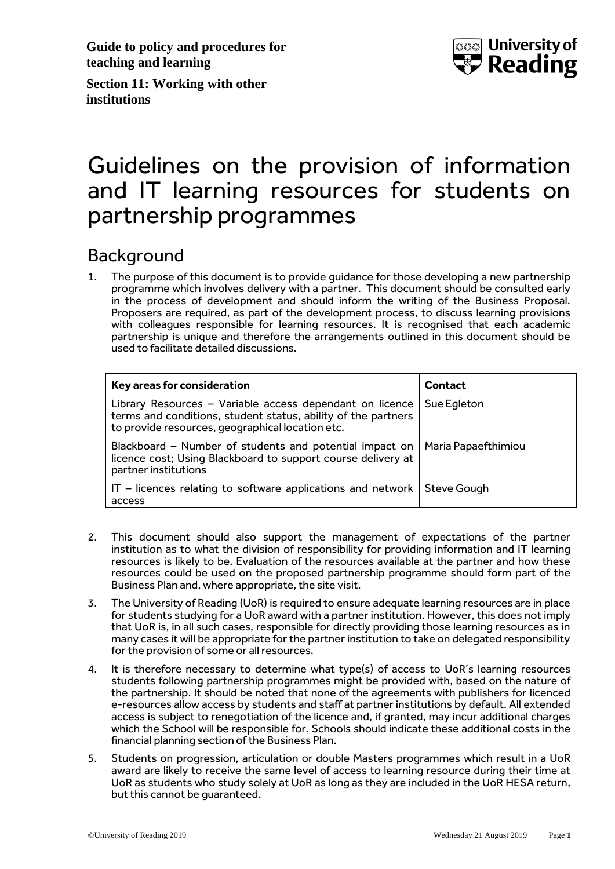**Guide to policy and procedures for teaching and learning**



**Section 11: Working with other institutions**

# Guidelines on the provision of information and IT learning resources for students on partnership programmes

### Background

1. The purpose of this document is to provide guidance for those developing a new partnership programme which involves delivery with a partner. This document should be consulted early in the process of development and should inform the writing of the Business Proposal. Proposers are required, as part of the development process, to discuss learning provisions with colleagues responsible for learning resources. It is recognised that each academic partnership is unique and therefore the arrangements outlined in this document should be used to facilitate detailed discussions.

| Key areas for consideration                                                                                                                                                   | <b>Contact</b>      |
|-------------------------------------------------------------------------------------------------------------------------------------------------------------------------------|---------------------|
| Library Resources - Variable access dependant on licence<br>terms and conditions, student status, ability of the partners<br>to provide resources, geographical location etc. | Sue Egleton         |
| Blackboard - Number of students and potential impact on<br>licence cost; Using Blackboard to support course delivery at<br>partner institutions                               | Maria Papaefthimiou |
| $IT$ – licences relating to software applications and network<br>access                                                                                                       | Steve Gough         |

- 2. This document should also support the management of expectations of the partner institution as to what the division of responsibility for providing information and IT learning resources is likely to be. Evaluation of the resources available at the partner and how these resources could be used on the proposed partnership programme should form part of the Business Plan and, where appropriate, the site visit.
- 3. The University of Reading (UoR) is required to ensure adequate learning resources are in place for students studying for a UoR award with a partner institution. However, this does not imply that UoR is, in all such cases, responsible for directly providing those learning resources as in many cases it will be appropriate for the partner institution to take on delegated responsibility for the provision of some or all resources.
- 4. It is therefore necessary to determine what type(s) of access to UoR's learning resources students following partnership programmes might be provided with, based on the nature of the partnership. It should be noted that none of the agreements with publishers for licenced e-resources allow access by students and staff at partner institutions by default. All extended access is subject to renegotiation of the licence and, if granted, may incur additional charges which the School will be responsible for. Schools should indicate these additional costs in the financial planning section of the Business Plan.
- 5. Students on progression, articulation or double Masters programmes which result in a UoR award are likely to receive the same level of access to learning resource during their time at UoR as students who study solely at UoR as long as they are included in the UoR HESA return, but this cannot be guaranteed.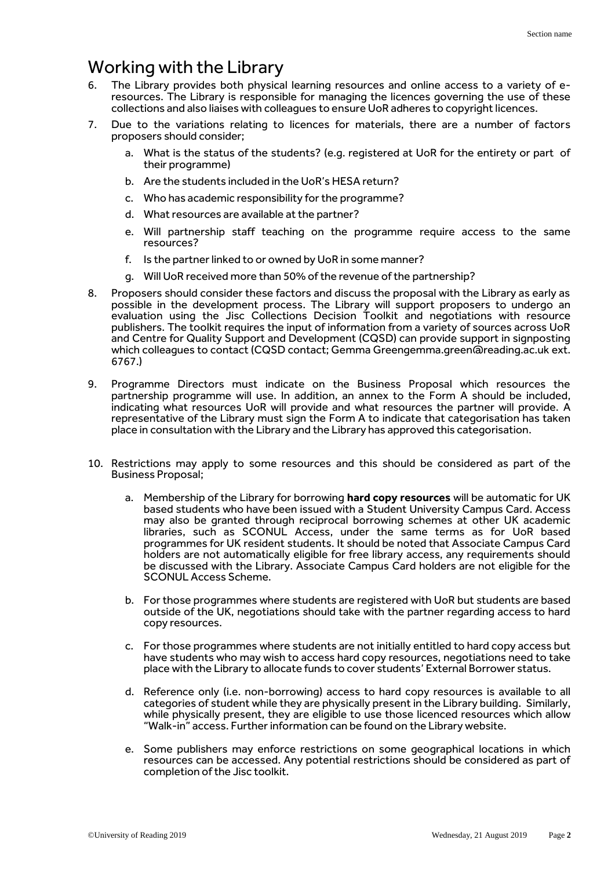### Working with the Library

- 6. The Library provides both physical learning resources and online access to a variety of eresources. The Library is responsible for managing the licences governing the use of these collections and also liaises with colleagues to ensure UoR adheres to copyright licences.
- 7. Due to the variations relating to licences for materials, there are a number of factors proposers should consider;
	- a. What is the status of the students? (e.g. registered at UoR for the entirety or part of their programme)
	- b. Are the students included in the UoR's HESA return?
	- c. Who has academic responsibility for the programme?
	- d. What resources are available at the partner?
	- e. Will partnership staff teaching on the programme require access to the same resources?
	- f. Is the partner linked to or owned by UoR in some manner?
	- g. Will UoR received more than 50% of the revenue of the partnership?
- 8. Proposers should consider these factors and discuss the proposal with the Library as early as possible in the development process. The Library will support proposers to undergo an evaluation using the Jisc Collections Decision Toolkit and negotiations with resource publishers. The toolkit requires the input of information from a variety of sources across UoR and Centre for Quality Support and Development (CQSD) can provide support in signposting which colleagues to contact (CQSD contact; Gemma Greengemma.green@reading.ac.uk ext. 6767.)
- 9. Programme Directors must indicate on the Business Proposal which resources the partnership programme will use. In addition, an annex to the Form A should be included, indicating what resources UoR will provide and what resources the partner will provide. A representative of the Library must sign the Form A to indicate that categorisation has taken place in consultation with the Library and the Library has approved this categorisation.
- 10. Restrictions may apply to some resources and this should be considered as part of the Business Proposal;
	- a. Membership of the Library for borrowing **hard copy resources** will be automatic for UK based students who have been issued with a Student University Campus Card. Access may also be granted through reciprocal borrowing schemes at other UK academic libraries, such as SCONUL Access, under the same terms as for UoR based programmes for UK resident students. It should be noted that Associate Campus Card holders are not automatically eligible for free library access, any requirements should be discussed with the Library. Associate Campus Card holders are not eligible for the SCONUL Access Scheme.
	- b. For those programmes where students are registered with UoR but students are based outside of the UK, negotiations should take with the partner regarding access to hard copy resources.
	- c. For those programmes where students are not initially entitled to hard copy access but have students who may wish to access hard copy resources, negotiations need to take place with the Library to allocate funds to cover students' External Borrower status.
	- d. Reference only (i.e. non-borrowing) access to hard copy resources is available to all categories of student while they are physically present in the Library building. Similarly, while physically present, they are eligible to use those licenced resources which allow "Walk-in" access. Further information can be found on the Library website.
	- e. Some publishers may enforce restrictions on some geographical locations in which resources can be accessed. Any potential restrictions should be considered as part of completion of the Jisc toolkit.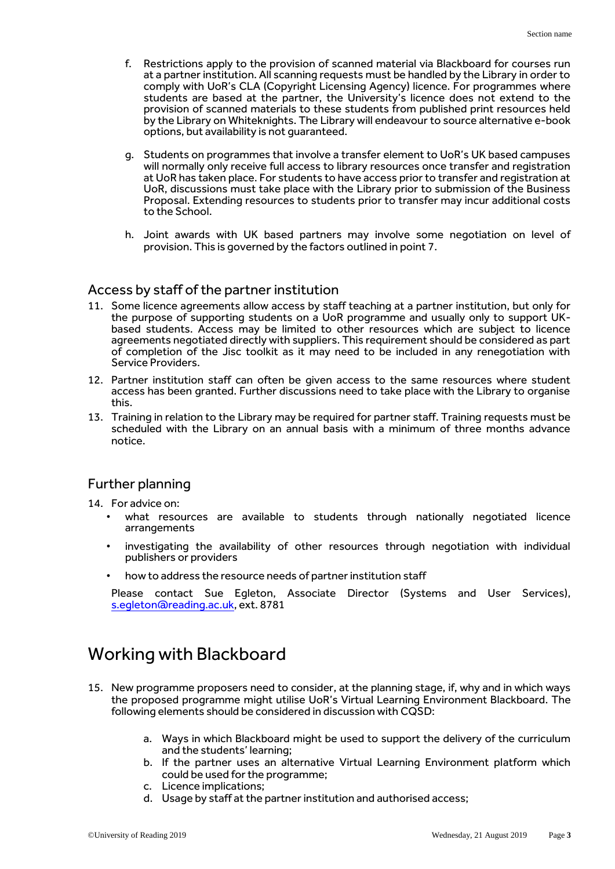- f. Restrictions apply to the provision of scanned material via Blackboard for courses run at a partner institution. All scanning requests must be handled by the Library in order to comply with UoR's CLA (Copyright Licensing Agency) licence. For programmes where students are based at the partner, the University's licence does not extend to the provision of scanned materials to these students from published print resources held by the Library on Whiteknights. The Library will endeavour to source alternative e-book options, but availability is not guaranteed.
- g. Students on programmes that involve a transfer element to UoR's UK based campuses will normally only receive full access to library resources once transfer and registration at UoR has taken place. For students to have access prior to transfer and registration at UoR, discussions must take place with the Library prior to submission of the Business Proposal. Extending resources to students prior to transfer may incur additional costs to the School.
- h. Joint awards with UK based partners may involve some negotiation on level of provision. This is governed by the factors outlined in point 7.

#### Access by staff of the partner institution

- 11. Some licence agreements allow access by staff teaching at a partner institution, but only for the purpose of supporting students on a UoR programme and usually only to support UKbased students. Access may be limited to other resources which are subject to licence agreements negotiated directly with suppliers. This requirement should be considered as part of completion of the Jisc toolkit as it may need to be included in any renegotiation with Service Providers.
- 12. Partner institution staff can often be given access to the same resources where student access has been granted. Further discussions need to take place with the Library to organise this.
- 13. Training in relation to the Library may be required for partner staff. Training requests must be scheduled with the Library on an annual basis with a minimum of three months advance notice.

#### Further planning

- 14. For advice on:
	- what resources are available to students through nationally negotiated licence arrangements
	- investigating the availability of other resources through negotiation with individual publishers or providers
	- how to address the resource needs of partner institution staff

Please contact Sue Egleton, Associate Director (Systems and User Services), s.egleton@reading.ac.uk, ext. 8781

## Working with Blackboard

- 15. New programme proposers need to consider, at the planning stage, if, why and in which ways the proposed programme might utilise UoR's Virtual Learning Environment Blackboard. The following elements should be considered in discussion with CQSD:
	- a. Ways in which Blackboard might be used to support the delivery of the curriculum and the students' learning;
	- b. If the partner uses an alternative Virtual Learning Environment platform which could be used for the programme;
	- c. Licence implications;
	- d. Usage by staff at the partner institution and authorised access;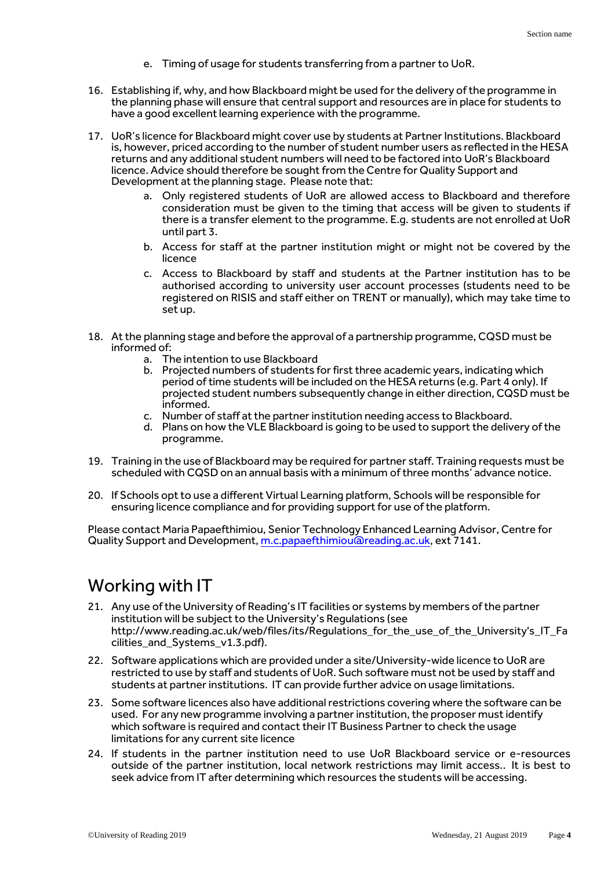- e. Timing of usage for students transferring from a partner to UoR.
- 16. Establishing if, why, and how Blackboard might be used for the delivery of the programme in the planning phase will ensure that central support and resources are in place for students to have a good excellent learning experience with the programme.
- 17. UoR's licence for Blackboard might cover use by students at Partner Institutions. Blackboard is, however, priced according to the number of student number users as reflected in the HESA returns and any additional student numbers will need to be factored into UoR's Blackboard licence. Advice should therefore be sought from the Centre for Quality Support and Development at the planning stage. Please note that:
	- a. Only registered students of UoR are allowed access to Blackboard and therefore consideration must be given to the timing that access will be given to students if there is a transfer element to the programme. E.g. students are not enrolled at UoR until part 3.
	- b. Access for staff at the partner institution might or might not be covered by the licence
	- c. Access to Blackboard by staff and students at the Partner institution has to be authorised according to university user account processes (students need to be registered on RISIS and staff either on TRENT or manually), which may take time to set up.
- 18. At the planning stage and before the approval of a partnership programme, CQSD must be informed of:
	- a. The intention to use Blackboard
	- b. Projected numbers of students for first three academic years, indicating which period of time students will be included on the HESA returns (e.g. Part 4 only). If projected student numbers subsequently change in either direction, CQSD must be informed.
	- c. Number of staff at the partner institution needing access to Blackboard.
	- d. Plans on how the VLE Blackboard is going to be used to support the delivery of the programme.
- 19. Training in the use of Blackboard may be required for partner staff. Training requests must be scheduled with CQSD on an annual basis with a minimum of three months' advance notice.
- 20. If Schools opt to use a different Virtual Learning platform, Schools will be responsible for ensuring licence compliance and for providing support for use of the platform.

Please contact Maria Papaefthimiou, Senior Technology Enhanced Learning Advisor, Centre for Quality Support and Development[, m.c.papaefthimiou@reading.ac.uk,](mailto:m.c.papaefthimiou@reading.ac.uk) ext 7141.

## Working with IT

- 21. Any use of the University of Reading's IT facilities or systems by members of the partner institution will be subject to the University's Regulations (see http://www.reading.ac.uk/web/files/its/Regulations\_for\_the\_use\_of\_the\_University's\_IT\_Fa cilities\_and\_Systems\_v1.3.pdf).
- 22. Software applications which are provided under a site/University-wide licence to UoR are restricted to use by staff and students of UoR. Such software must not be used by staff and students at partner institutions. IT can provide further advice on usage limitations.
- 23. Some software licences also have additional restrictions covering where the software can be used. For any new programme involving a partner institution, the proposer must identify which software is required and contact their IT Business Partner to check the usage limitations for any current site licence
- 24. If students in the partner institution need to use UoR Blackboard service or e-resources outside of the partner institution, local network restrictions may limit access.. It is best to seek advice from IT after determining which resources the students will be accessing.